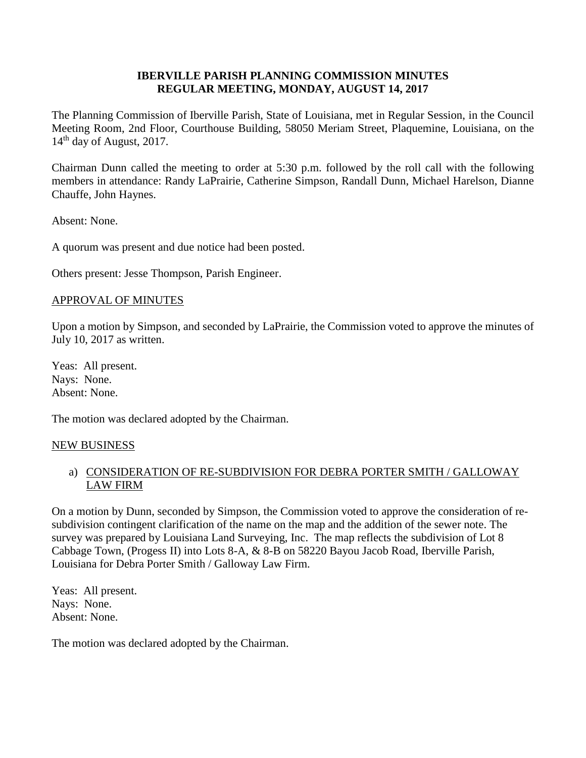## **IBERVILLE PARISH PLANNING COMMISSION MINUTES REGULAR MEETING, MONDAY, AUGUST 14, 2017**

The Planning Commission of Iberville Parish, State of Louisiana, met in Regular Session, in the Council Meeting Room, 2nd Floor, Courthouse Building, 58050 Meriam Street, Plaquemine, Louisiana, on the 14<sup>th</sup> day of August, 2017.

Chairman Dunn called the meeting to order at 5:30 p.m. followed by the roll call with the following members in attendance: Randy LaPrairie, Catherine Simpson, Randall Dunn, Michael Harelson, Dianne Chauffe, John Haynes.

Absent: None.

A quorum was present and due notice had been posted.

Others present: Jesse Thompson, Parish Engineer.

### APPROVAL OF MINUTES

Upon a motion by Simpson, and seconded by LaPrairie, the Commission voted to approve the minutes of July 10, 2017 as written.

Yeas: All present. Nays: None. Absent: None.

The motion was declared adopted by the Chairman.

#### NEW BUSINESS

# a) CONSIDERATION OF RE-SUBDIVISION FOR DEBRA PORTER SMITH / GALLOWAY LAW FIRM

On a motion by Dunn, seconded by Simpson, the Commission voted to approve the consideration of resubdivision contingent clarification of the name on the map and the addition of the sewer note. The survey was prepared by Louisiana Land Surveying, Inc. The map reflects the subdivision of Lot 8 Cabbage Town, (Progess II) into Lots 8-A, & 8-B on 58220 Bayou Jacob Road, Iberville Parish, Louisiana for Debra Porter Smith / Galloway Law Firm.

Yeas: All present. Nays: None. Absent: None.

The motion was declared adopted by the Chairman.